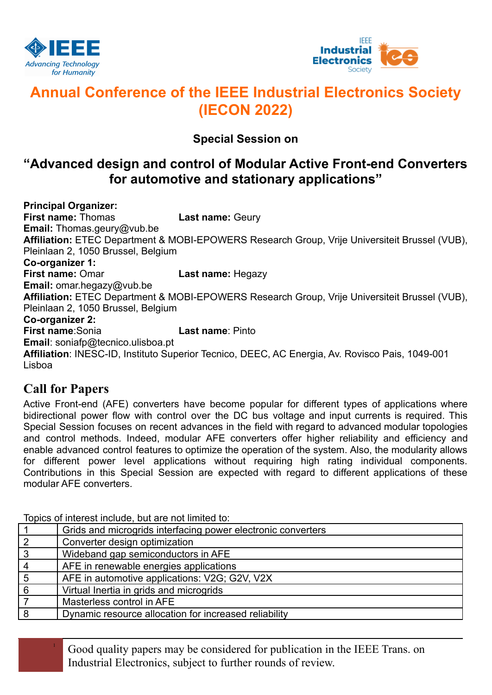



# **Annual Conference of the IEEE Industrial Electronics Society (IECON 2022)**

### **Special Session on**

## **"Advanced design and control of Modular Active Front-end Converters for automotive and stationary applications"**

**Principal Organizer: First name:** Thomas **Last name:** Geury **Email:** Thomas.geury@vub.be **Affiliation:** ETEC Department & MOBI-EPOWERS Research Group, Vrije Universiteit Brussel (VUB), Pleinlaan 2, 1050 Brussel, Belgium **Co-organizer 1: First name:** Omar **Last name:** Hegazy **Email:** omar.hegazy@vub.be **Affiliation:** ETEC Department & MOBI-EPOWERS Research Group, Vrije Universiteit Brussel (VUB), Pleinlaan 2, 1050 Brussel, Belgium **Co-organizer 2: First name**:Sonia **Last name**: Pinto **Email**: soniafp@tecnico.ulisboa.pt **Affiliation**: INESC-ID, Instituto Superior Tecnico, DEEC, AC Energia, Av. Rovisco Pais, 1049-001 Lisboa

### **Call for Papers**

Active Front-end (AFE) converters have become popular for different types of applications where bidirectional power flow with control over the DC bus voltage and input currents is required. This Special Session focuses on recent advances in the field with regard to advanced modular topologies and control methods. Indeed, modular AFE converters offer higher reliability and efficiency and enable advanced control features to optimize the operation of the system. Also, the modularity allows for different power level applications without requiring high rating individual components. Contributions in this Special Session are expected with regard to different applications of these modular AFE converters.

1 Grids and microgrids interfacing power electronic converters<br>2 Converter design optimization Converter design optimization Wideband gap semiconductors in AFE AFE in renewable energies applications AFE in automotive applications: V2G; G2V, V2X Virtual Inertia in grids and microgrids Masterless control in AFE Dynamic resource allocation for increased reliability

Topics of interest include, but are not limited to:

<sup>1</sup> Good quality papers may be considered for publication in the IEEE Trans. on Industrial Electronics, subject to further rounds of review.